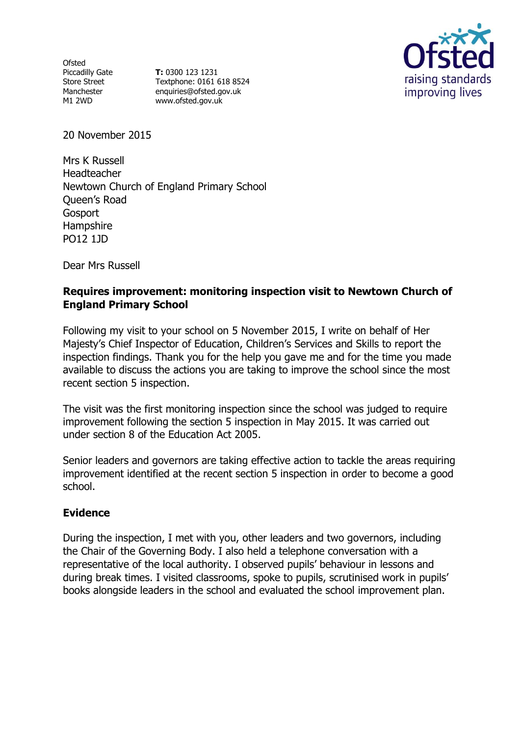Ofsted Piccadilly Gate Store Street Manchester M1 2WD

**T:** 0300 123 1231 Textphone: 0161 618 8524 enquiries@ofsted.gov.uk www.ofsted.gov.uk



20 November 2015

Mrs K Russell Headteacher Newtown Church of England Primary School Queen's Road Gosport **Hampshire** PO12 1JD

Dear Mrs Russell

### **Requires improvement: monitoring inspection visit to Newtown Church of England Primary School**

Following my visit to your school on 5 November 2015, I write on behalf of Her Majesty's Chief Inspector of Education, Children's Services and Skills to report the inspection findings. Thank you for the help you gave me and for the time you made available to discuss the actions you are taking to improve the school since the most recent section 5 inspection.

The visit was the first monitoring inspection since the school was judged to require improvement following the section 5 inspection in May 2015. It was carried out under section 8 of the Education Act 2005.

Senior leaders and governors are taking effective action to tackle the areas requiring improvement identified at the recent section 5 inspection in order to become a good school.

### **Evidence**

During the inspection, I met with you, other leaders and two governors, including the Chair of the Governing Body. I also held a telephone conversation with a representative of the local authority. I observed pupils' behaviour in lessons and during break times. I visited classrooms, spoke to pupils, scrutinised work in pupils' books alongside leaders in the school and evaluated the school improvement plan.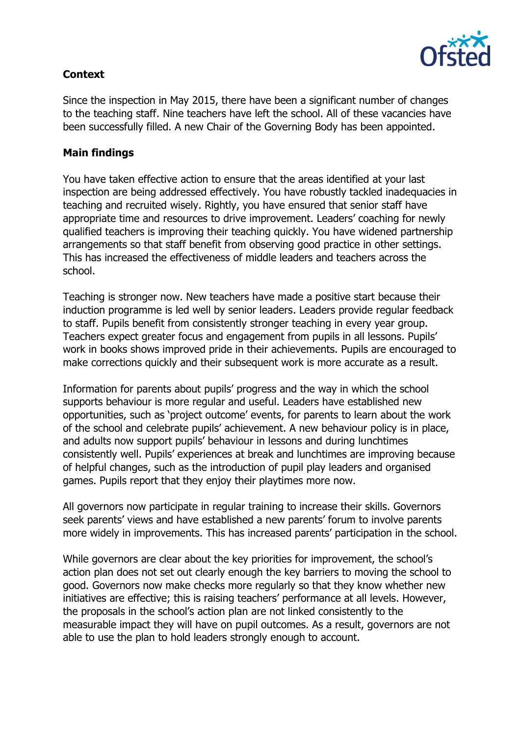

# **Context**

Since the inspection in May 2015, there have been a significant number of changes to the teaching staff. Nine teachers have left the school. All of these vacancies have been successfully filled. A new Chair of the Governing Body has been appointed.

## **Main findings**

You have taken effective action to ensure that the areas identified at your last inspection are being addressed effectively. You have robustly tackled inadequacies in teaching and recruited wisely. Rightly, you have ensured that senior staff have appropriate time and resources to drive improvement. Leaders' coaching for newly qualified teachers is improving their teaching quickly. You have widened partnership arrangements so that staff benefit from observing good practice in other settings. This has increased the effectiveness of middle leaders and teachers across the school.

Teaching is stronger now. New teachers have made a positive start because their induction programme is led well by senior leaders. Leaders provide regular feedback to staff. Pupils benefit from consistently stronger teaching in every year group. Teachers expect greater focus and engagement from pupils in all lessons. Pupils' work in books shows improved pride in their achievements. Pupils are encouraged to make corrections quickly and their subsequent work is more accurate as a result.

Information for parents about pupils' progress and the way in which the school supports behaviour is more regular and useful. Leaders have established new opportunities, such as 'project outcome' events, for parents to learn about the work of the school and celebrate pupils' achievement. A new behaviour policy is in place, and adults now support pupils' behaviour in lessons and during lunchtimes consistently well. Pupils' experiences at break and lunchtimes are improving because of helpful changes, such as the introduction of pupil play leaders and organised games. Pupils report that they enjoy their playtimes more now.

All governors now participate in regular training to increase their skills. Governors seek parents' views and have established a new parents' forum to involve parents more widely in improvements. This has increased parents' participation in the school.

While governors are clear about the key priorities for improvement, the school's action plan does not set out clearly enough the key barriers to moving the school to good. Governors now make checks more regularly so that they know whether new initiatives are effective; this is raising teachers' performance at all levels. However, the proposals in the school's action plan are not linked consistently to the measurable impact they will have on pupil outcomes. As a result, governors are not able to use the plan to hold leaders strongly enough to account.